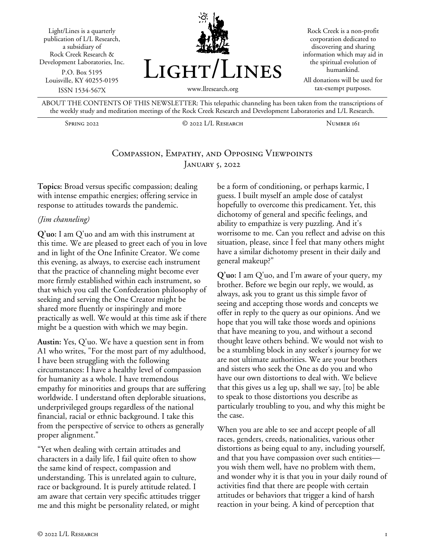Light/Lines is a quarterly publication of L/L Research, a subsidiary of Rock Creek Research & Development Laboratories, Inc. P.O. Box 5195 Louisville, KY 40255-0195 ISSN 1534-567X



Rock Creek is a non-profit corporation dedicated to discovering and sharing information which may aid in the spiritual evolution of humankind.

All donations will be used for tax-exempt purposes.

ABOUT THE CONTENTS OF THIS NEWSLETTER: This telepathic channeling has been taken from the transcriptions of the weekly study and meditation meetings of the Rock Creek Research and Development Laboratories and L/L Research.

Spring 2022 © 2022 L/L Research Number 161

# Compassion, Empathy, and Opposing Viewpoints JANUARY 5, 2022

**Topics:** Broad versus specific compassion; dealing with intense empathic energies; offering service in response to attitudes towards the pandemic.

#### *(Jim channeling)*

**Q'uo:** I am Q'uo and am with this instrument at this time. We are pleased to greet each of you in love and in light of the One Infinite Creator. We come this evening, as always, to exercise each instrument that the practice of channeling might become ever more firmly established within each instrument, so that which you call the Confederation philosophy of seeking and serving the One Creator might be shared more fluently or inspiringly and more practically as well. We would at this time ask if there might be a question with which we may begin.

**Austin:** Yes, Q'uo. We have a question sent in from A1 who writes, "For the most part of my adulthood, I have been struggling with the following circumstances: I have a healthy level of compassion for humanity as a whole. I have tremendous empathy for minorities and groups that are suffering worldwide. I understand often deplorable situations, underprivileged groups regardless of the national financial, racial or ethnic background. I take this from the perspective of service to others as generally proper alignment."

"Yet when dealing with certain attitudes and characters in a daily life, I fail quite often to show the same kind of respect, compassion and understanding. This is unrelated again to culture, race or background. It is purely attitude related. I am aware that certain very specific attitudes trigger me and this might be personality related, or might

be a form of conditioning, or perhaps karmic, I guess. I built myself an ample dose of catalyst hopefully to overcome this predicament. Yet, this dichotomy of general and specific feelings, and ability to empathize is very puzzling. And it's worrisome to me. Can you reflect and advise on this situation, please, since I feel that many others might have a similar dichotomy present in their daily and general makeup?"

**Q'uo:** I am Q'uo, and I'm aware of your query, my brother. Before we begin our reply, we would, as always, ask you to grant us this simple favor of seeing and accepting those words and concepts we offer in reply to the query as our opinions. And we hope that you will take those words and opinions that have meaning to you, and without a second thought leave others behind. We would not wish to be a stumbling block in any seeker's journey for we are not ultimate authorities. We are your brothers and sisters who seek the One as do you and who have our own distortions to deal with. We believe that this gives us a leg up, shall we say, [to] be able to speak to those distortions you describe as particularly troubling to you, and why this might be the case.

When you are able to see and accept people of all races, genders, creeds, nationalities, various other distortions as being equal to any, including yourself, and that you have compassion over such entities you wish them well, have no problem with them, and wonder why it is that you in your daily round of activities find that there are people with certain attitudes or behaviors that trigger a kind of harsh reaction in your being. A kind of perception that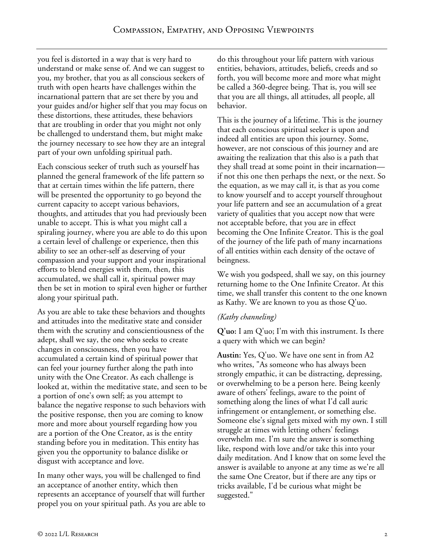you feel is distorted in a way that is very hard to understand or make sense of. And we can suggest to you, my brother, that you as all conscious seekers of truth with open hearts have challenges within the incarnational pattern that are set there by you and your guides and/or higher self that you may focus on these distortions, these attitudes, these behaviors that are troubling in order that you might not only be challenged to understand them, but might make the journey necessary to see how they are an integral part of your own unfolding spiritual path.

Each conscious seeker of truth such as yourself has planned the general framework of the life pattern so that at certain times within the life pattern, there will be presented the opportunity to go beyond the current capacity to accept various behaviors, thoughts, and attitudes that you had previously been unable to accept. This is what you might call a spiraling journey, where you are able to do this upon a certain level of challenge or experience, then this ability to see an other-self as deserving of your compassion and your support and your inspirational efforts to blend energies with them, then, this accumulated, we shall call it, spiritual power may then be set in motion to spiral even higher or further along your spiritual path.

As you are able to take these behaviors and thoughts and attitudes into the meditative state and consider them with the scrutiny and conscientiousness of the adept, shall we say, the one who seeks to create changes in consciousness, then you have accumulated a certain kind of spiritual power that can feel your journey further along the path into unity with the One Creator. As each challenge is looked at, within the meditative state, and seen to be a portion of one's own self; as you attempt to balance the negative response to such behaviors with the positive response, then you are coming to know more and more about yourself regarding how you are a portion of the One Creator, as is the entity standing before you in meditation. This entity has given you the opportunity to balance dislike or disgust with acceptance and love.

In many other ways, you will be challenged to find an acceptance of another entity, which then represents an acceptance of yourself that will further propel you on your spiritual path. As you are able to do this throughout your life pattern with various entities, behaviors, attitudes, beliefs, creeds and so forth, you will become more and more what might be called a 360-degree being. That is, you will see that you are all things, all attitudes, all people, all behavior.

This is the journey of a lifetime. This is the journey that each conscious spiritual seeker is upon and indeed all entities are upon this journey. Some, however, are not conscious of this journey and are awaiting the realization that this also is a path that they shall tread at some point in their incarnation if not this one then perhaps the next, or the next. So the equation, as we may call it, is that as you come to know yourself and to accept yourself throughout your life pattern and see an accumulation of a great variety of qualities that you accept now that were not acceptable before, that you are in effect becoming the One Infinite Creator. This is the goal of the journey of the life path of many incarnations of all entities within each density of the octave of beingness.

We wish you godspeed, shall we say, on this journey returning home to the One Infinite Creator. At this time, we shall transfer this content to the one known as Kathy. We are known to you as those Q'uo.

### *(Kathy channeling)*

**Q'uo:** I am Q'uo; I'm with this instrument. Is there a query with which we can begin?

**Austin:** Yes, Q'uo. We have one sent in from A2 who writes, "As someone who has always been strongly empathic, it can be distracting, depressing, or overwhelming to be a person here. Being keenly aware of others' feelings, aware to the point of something along the lines of what I'd call auric infringement or entanglement, or something else. Someone else's signal gets mixed with my own. I still struggle at times with letting others' feelings overwhelm me. I'm sure the answer is something like, respond with love and/or take this into your daily meditation. And I know that on some level the answer is available to anyone at any time as we're all the same One Creator, but if there are any tips or tricks available, I'd be curious what might be suggested."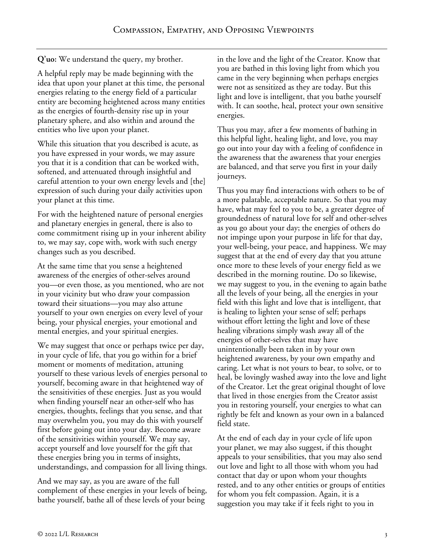**Q'uo:** We understand the query, my brother.

A helpful reply may be made beginning with the idea that upon your planet at this time, the personal energies relating to the energy field of a particular entity are becoming heightened across many entities as the energies of fourth-density rise up in your planetary sphere, and also within and around the entities who live upon your planet.

While this situation that you described is acute, as you have expressed in your words, we may assure you that it is a condition that can be worked with, softened, and attenuated through insightful and careful attention to your own energy levels and [the] expression of such during your daily activities upon your planet at this time.

For with the heightened nature of personal energies and planetary energies in general, there is also to come commitment rising up in your inherent ability to, we may say, cope with, work with such energy changes such as you described.

At the same time that you sense a heightened awareness of the energies of other-selves around you—or even those, as you mentioned, who are not in your vicinity but who draw your compassion toward their situations—you may also attune yourself to your own energies on every level of your being, your physical energies, your emotional and mental energies, and your spiritual energies.

We may suggest that once or perhaps twice per day, in your cycle of life, that you go within for a brief moment or moments of meditation, attuning yourself to these various levels of energies personal to yourself, becoming aware in that heightened way of the sensitivities of these energies. Just as you would when finding yourself near an other-self who has energies, thoughts, feelings that you sense, and that may overwhelm you, you may do this with yourself first before going out into your day. Become aware of the sensitivities within yourself. We may say, accept yourself and love yourself for the gift that these energies bring you in terms of insights, understandings, and compassion for all living things.

And we may say, as you are aware of the full complement of these energies in your levels of being, bathe yourself, bathe all of these levels of your being

in the love and the light of the Creator. Know that you are bathed in this loving light from which you came in the very beginning when perhaps energies were not as sensitized as they are today. But this light and love is intelligent, that you bathe yourself with. It can soothe, heal, protect your own sensitive energies.

Thus you may, after a few moments of bathing in this helpful light, healing light, and love, you may go out into your day with a feeling of confidence in the awareness that the awareness that your energies are balanced, and that serve you first in your daily journeys.

Thus you may find interactions with others to be of a more palatable, acceptable nature. So that you may have, what may feel to you to be, a greater degree of groundedness of natural love for self and other-selves as you go about your day; the energies of others do not impinge upon your purpose in life for that day, your well-being, your peace, and happiness. We may suggest that at the end of every day that you attune once more to these levels of your energy field as we described in the morning routine. Do so likewise, we may suggest to you, in the evening to again bathe all the levels of your being, all the energies in your field with this light and love that is intelligent, that is healing to lighten your sense of self; perhaps without effort letting the light and love of these healing vibrations simply wash away all of the energies of other-selves that may have unintentionally been taken in by your own heightened awareness, by your own empathy and caring. Let what is not yours to bear, to solve, or to heal, be lovingly washed away into the love and light of the Creator. Let the great original thought of love that lived in those energies from the Creator assist you in restoring yourself, your energies to what can rightly be felt and known as your own in a balanced field state.

At the end of each day in your cycle of life upon your planet, we may also suggest, if this thought appeals to your sensibilities, that you may also send out love and light to all those with whom you had contact that day or upon whom your thoughts rested, and to any other entities or groups of entities for whom you felt compassion. Again, it is a suggestion you may take if it feels right to you in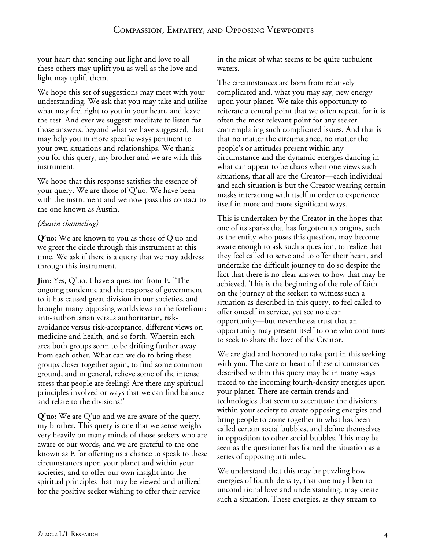your heart that sending out light and love to all these others may uplift you as well as the love and light may uplift them.

We hope this set of suggestions may meet with your understanding. We ask that you may take and utilize what may feel right to you in your heart, and leave the rest. And ever we suggest: meditate to listen for those answers, beyond what we have suggested, that may help you in more specific ways pertinent to your own situations and relationships. We thank you for this query, my brother and we are with this instrument.

We hope that this response satisfies the essence of your query. We are those of Q'uo. We have been with the instrument and we now pass this contact to the one known as Austin.

### *(Austin channeling)*

**Q'uo:** We are known to you as those of Q'uo and we greet the circle through this instrument at this time. We ask if there is a query that we may address through this instrument.

**Jim:** Yes, Q'uo. I have a question from E. "The ongoing pandemic and the response of government to it has caused great division in our societies, and brought many opposing worldviews to the forefront: anti-authoritarian versus authoritarian, riskavoidance versus risk-acceptance, different views on medicine and health, and so forth. Wherein each area both groups seem to be drifting further away from each other. What can we do to bring these groups closer together again, to find some common ground, and in general, relieve some of the intense stress that people are feeling? Are there any spiritual principles involved or ways that we can find balance and relate to the divisions?"

**Q'uo:** We are Q'uo and we are aware of the query, my brother. This query is one that we sense weighs very heavily on many minds of those seekers who are aware of our words, and we are grateful to the one known as E for offering us a chance to speak to these circumstances upon your planet and within your societies, and to offer our own insight into the spiritual principles that may be viewed and utilized for the positive seeker wishing to offer their service

in the midst of what seems to be quite turbulent waters.

The circumstances are born from relatively complicated and, what you may say, new energy upon your planet. We take this opportunity to reiterate a central point that we often repeat, for it is often the most relevant point for any seeker contemplating such complicated issues. And that is that no matter the circumstance, no matter the people's or attitudes present within any circumstance and the dynamic energies dancing in what can appear to be chaos when one views such situations, that all are the Creator—each individual and each situation is but the Creator wearing certain masks interacting with itself in order to experience itself in more and more significant ways.

This is undertaken by the Creator in the hopes that one of its sparks that has forgotten its origins, such as the entity who poses this question, may become aware enough to ask such a question, to realize that they feel called to serve and to offer their heart, and undertake the difficult journey to do so despite the fact that there is no clear answer to how that may be achieved. This is the beginning of the role of faith on the journey of the seeker: to witness such a situation as described in this query, to feel called to offer oneself in service, yet see no clear opportunity—but nevertheless trust that an opportunity may present itself to one who continues to seek to share the love of the Creator.

We are glad and honored to take part in this seeking with you. The core or heart of these circumstances described within this query may be in many ways traced to the incoming fourth-density energies upon your planet. There are certain trends and technologies that seem to accentuate the divisions within your society to create opposing energies and bring people to come together in what has been called certain social bubbles, and define themselves in opposition to other social bubbles. This may be seen as the questioner has framed the situation as a series of opposing attitudes.

We understand that this may be puzzling how energies of fourth-density, that one may liken to unconditional love and understanding, may create such a situation. These energies, as they stream to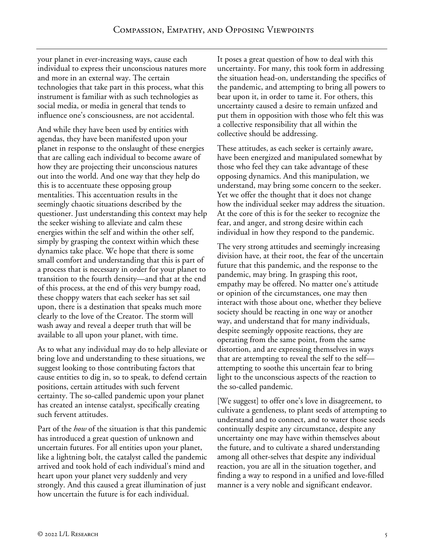your planet in ever-increasing ways, cause each individual to express their unconscious natures more and more in an external way. The certain technologies that take part in this process, what this instrument is familiar with as such technologies as social media, or media in general that tends to influence one's consciousness, are not accidental.

And while they have been used by entities with agendas, they have been manifested upon your planet in response to the onslaught of these energies that are calling each individual to become aware of how they are projecting their unconscious natures out into the world. And one way that they help do this is to accentuate these opposing group mentalities. This accentuation results in the seemingly chaotic situations described by the questioner. Just understanding this context may help the seeker wishing to alleviate and calm these energies within the self and within the other self, simply by grasping the context within which these dynamics take place. We hope that there is some small comfort and understanding that this is part of a process that is necessary in order for your planet to transition to the fourth density—and that at the end of this process, at the end of this very bumpy road, these choppy waters that each seeker has set sail upon, there is a destination that speaks much more clearly to the love of the Creator. The storm will wash away and reveal a deeper truth that will be available to all upon your planet, with time.

As to what any individual may do to help alleviate or bring love and understanding to these situations, we suggest looking to those contributing factors that cause entities to dig in, so to speak, to defend certain positions, certain attitudes with such fervent certainty. The so-called pandemic upon your planet has created an intense catalyst, specifically creating such fervent attitudes.

Part of the *how* of the situation is that this pandemic has introduced a great question of unknown and uncertain futures. For all entities upon your planet, like a lightning bolt, the catalyst called the pandemic arrived and took hold of each individual's mind and heart upon your planet very suddenly and very strongly. And this caused a great illumination of just how uncertain the future is for each individual.

It poses a great question of how to deal with this uncertainty. For many, this took form in addressing the situation head-on, understanding the specifics of the pandemic, and attempting to bring all powers to bear upon it, in order to tame it. For others, this uncertainty caused a desire to remain unfazed and put them in opposition with those who felt this was a collective responsibility that all within the collective should be addressing.

These attitudes, as each seeker is certainly aware, have been energized and manipulated somewhat by those who feel they can take advantage of these opposing dynamics. And this manipulation, we understand, may bring some concern to the seeker. Yet we offer the thought that it does not change how the individual seeker may address the situation. At the core of this is for the seeker to recognize the fear, and anger, and strong desire within each individual in how they respond to the pandemic.

The very strong attitudes and seemingly increasing division have, at their root, the fear of the uncertain future that this pandemic, and the response to the pandemic, may bring. In grasping this root, empathy may be offered. No matter one's attitude or opinion of the circumstances, one may then interact with those about one, whether they believe society should be reacting in one way or another way, and understand that for many individuals, despite seemingly opposite reactions, they are operating from the same point, from the same distortion, and are expressing themselves in ways that are attempting to reveal the self to the self attempting to soothe this uncertain fear to bring light to the unconscious aspects of the reaction to the so-called pandemic.

[We suggest] to offer one's love in disagreement, to cultivate a gentleness, to plant seeds of attempting to understand and to connect, and to water those seeds continually despite any circumstance, despite any uncertainty one may have within themselves about the future, and to cultivate a shared understanding among all other-selves that despite any individual reaction, you are all in the situation together, and finding a way to respond in a unified and love-filled manner is a very noble and significant endeavor.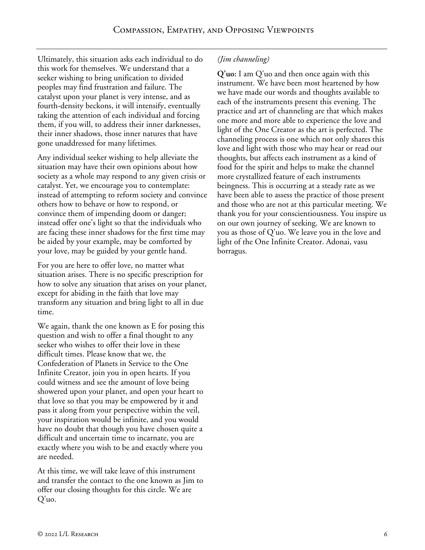Ultimately, this situation asks each individual to do this work for themselves. We understand that a seeker wishing to bring unification to divided peoples may find frustration and failure. The catalyst upon your planet is very intense, and as fourth-density beckons, it will intensify, eventually taking the attention of each individual and forcing them, if you will, to address their inner darknesses, their inner shadows, those inner natures that have gone unaddressed for many lifetimes.

Any individual seeker wishing to help alleviate the situation may have their own opinions about how society as a whole may respond to any given crisis or catalyst. Yet, we encourage you to contemplate: instead of attempting to reform society and convince others how to behave or how to respond, or convince them of impending doom or danger; instead offer one's light so that the individuals who are facing these inner shadows for the first time may be aided by your example, may be comforted by your love, may be guided by your gentle hand.

For you are here to offer love, no matter what situation arises. There is no specific prescription for how to solve any situation that arises on your planet, except for abiding in the faith that love may transform any situation and bring light to all in due time.

We again, thank the one known as E for posing this question and wish to offer a final thought to any seeker who wishes to offer their love in these difficult times. Please know that we, the Confederation of Planets in Service to the One Infinite Creator, join you in open hearts. If you could witness and see the amount of love being showered upon your planet, and open your heart to that love so that you may be empowered by it and pass it along from your perspective within the veil, your inspiration would be infinite, and you would have no doubt that though you have chosen quite a difficult and uncertain time to incarnate, you are exactly where you wish to be and exactly where you are needed.

At this time, we will take leave of this instrument and transfer the contact to the one known as Jim to offer our closing thoughts for this circle. We are Q'uo.

## *(Jim channeling)*

**Q'uo:** I am Q'uo and then once again with this instrument. We have been most heartened by how we have made our words and thoughts available to each of the instruments present this evening. The practice and art of channeling are that which makes one more and more able to experience the love and light of the One Creator as the art is perfected. The channeling process is one which not only shares this love and light with those who may hear or read our thoughts, but affects each instrument as a kind of food for the spirit and helps to make the channel more crystallized feature of each instruments beingness. This is occurring at a steady rate as we have been able to assess the practice of those present and those who are not at this particular meeting. We thank you for your conscientiousness. You inspire us on our own journey of seeking. We are known to you as those of Q'uo. We leave you in the love and light of the One Infinite Creator. Adonai, vasu borragus.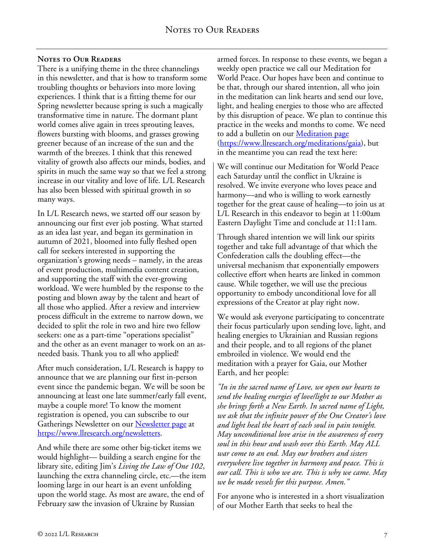#### **Notes to Our Readers**

There is a unifying theme in the three channelings in this newsletter, and that is how to transform some troubling thoughts or behaviors into more loving experiences. I think that is a fitting theme for our Spring newsletter because spring is such a magically transformative time in nature. The dormant plant world comes alive again in trees sprouting leaves, flowers bursting with blooms, and grasses growing greener because of an increase of the sun and the warmth of the breezes. I think that this renewed vitality of growth also affects our minds, bodies, and spirits in much the same way so that we feel a strong increase in our vitality and love of life. L/L Research has also been blessed with spiritual growth in so many ways.

In L/L Research news, we started off our season by announcing our first ever job posting. What started as an idea last year, and began its germination in autumn of 2021, bloomed into fully fleshed open call for seekers interested in supporting the organization's growing needs – namely, in the areas of event production, multimedia content creation, and supporting the staff with the ever-growing workload. We were humbled by the response to the posting and blown away by the talent and heart of all those who applied. After a review and interview process difficult in the extreme to narrow down, we decided to split the role in two and hire two fellow seekers: one as a part-time "operations specialist" and the other as an event manager to work on an asneeded basis. Thank you to all who applied!

After much consideration, L/L Research is happy to announce that we are planning our first in-person event since the pandemic began. We will be soon be announcing at least one late summer/early fall event, maybe a couple more! To know the moment registration is opened, you can subscribe to our Gatherings Newsletter on our [Newsletter page](https://www.llresearch.org/newsletters) at [https://www.llresearch.org/newsletters.](https://www.llresearch.org/newsletters)

And while there are some other big-ticket items we would highlight— building a search engine for the library site, editing Jim's *Living the Law of One 102*, launching the extra channeling circle, etc.—the item looming large in our heart is an event unfolding upon the world stage. As most are aware, the end of February saw the invasion of Ukraine by Russian

armed forces. In response to these events, we began a weekly open practice we call our Meditation for World Peace. Our hopes have been and continue to be that, through our shared intention, all who join in the meditation can link hearts and send our love, light, and healing energies to those who are affected by this disruption of peace. We plan to continue this practice in the weeks and months to come. We need to add a bulletin on our **Meditation page** [\(https://www.llresearch.org/meditations/gaia\)](https://www.llresearch.org/meditations/gaia), but in the meantime you can read the text here:

We will continue our Meditation for World Peace each Saturday until the conflict in Ukraine is resolved. We invite everyone who loves peace and harmony—and who is willing to work earnestly together for the great cause of healing—to join us at L/L Research in this endeavor to begin at 11:00am Eastern Daylight Time and conclude at 11:11am.

Through shared intention we will link our spirits together and take full advantage of that which the Confederation calls the doubling effect—the universal mechanism that exponentially empowers collective effort when hearts are linked in common cause. While together, we will use the precious opportunity to embody unconditional love for all expressions of the Creator at play right now.

We would ask everyone participating to concentrate their focus particularly upon sending love, light, and healing energies to Ukrainian and Russian regions and their people, and to all regions of the planet embroiled in violence. We would end the meditation with a prayer for Gaia, our Mother Earth, and her people:

*"In in the sacred name of Love, we open our hearts to send the healing energies of love/light to our Mother as she brings forth a New Earth. In sacred name of Light, we ask that the infinite power of the One Creator's love and light heal the heart of each soul in pain tonight. May unconditional love arise in the awareness of every soul in this hour and wash over this Earth. May ALL war come to an end. May our brothers and sisters everywhere live together in harmony and peace. This is our call. This is who we are. This is why we came. May we be made vessels for this purpose. Amen."*

For anyone who is interested in a short visualization of our Mother Earth that seeks to heal the